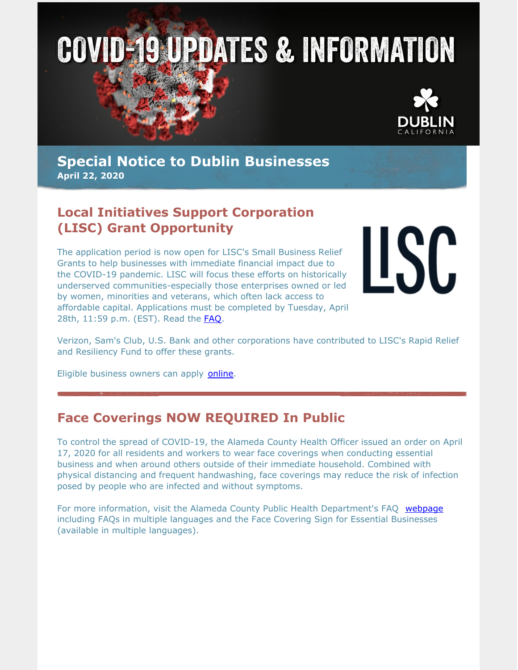



**Special Notice to Dublin Businesses April 22, 2020**

# **Local Initiatives Support Corporation (LISC) Grant Opportunity**

The application period is now open for LISC's Small Business Relief Grants to help businesses with immediate financial impact due to the COVID-19 pandemic. LISC will focus these efforts on historically underserved communities-especially those enterprises owned or led by women, minorities and veterans, which often lack access to affordable capital. Applications must be completed by Tuesday, April 28th, 11:59 p.m. (EST). Read the [FAQ](https://www.lisc.org/covid-19/small-business-assistance/small-business-relief-grants/frequently-asked-questions/).

LISC

Verizon, Sam's Club, U.S. Bank and other corporations have contributed to LISC's Rapid Relief and Resiliency Fund to offer these grants.

Eligible business owners can apply [online.](https://www.research.net/r/LISCreliefgrant)

### **Face Coverings NOW REQUIRED In Public**

To control the spread of COVID-19, the Alameda County Health Officer issued an order on April 17, 2020 for all residents and workers to wear face coverings when conducting essential business and when around others outside of their immediate household. Combined with physical distancing and frequent handwashing, face coverings may reduce the risk of infection posed by people who are infected and without symptoms.

For more information, visit the Alameda County Public Health Department's FAQ [webpage](https://covid-19.acgov.org/face-covering-faqs.page) including FAQs in multiple languages and the Face Covering Sign for Essential Businesses (available in multiple languages).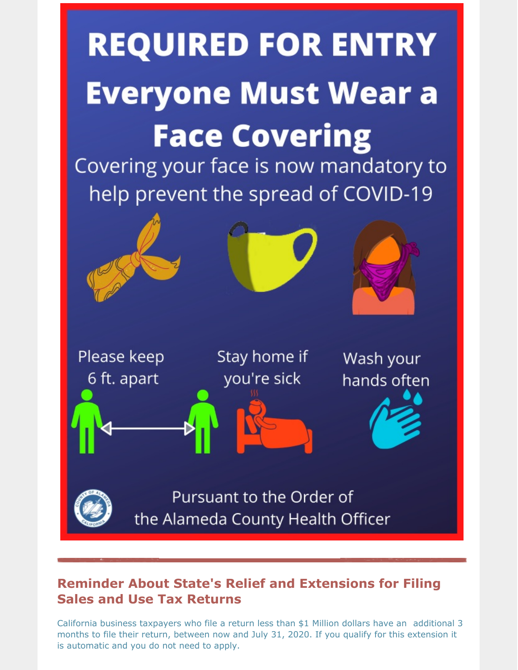

# **Reminder About State's Relief and Extensions for Filing Sales and Use Tax Returns**

California business taxpayers who file a return less than \$1 Million dollars have an additional 3 months to file their return, between now and July 31, 2020. If you qualify for this extension it is automatic and you do not need to apply.